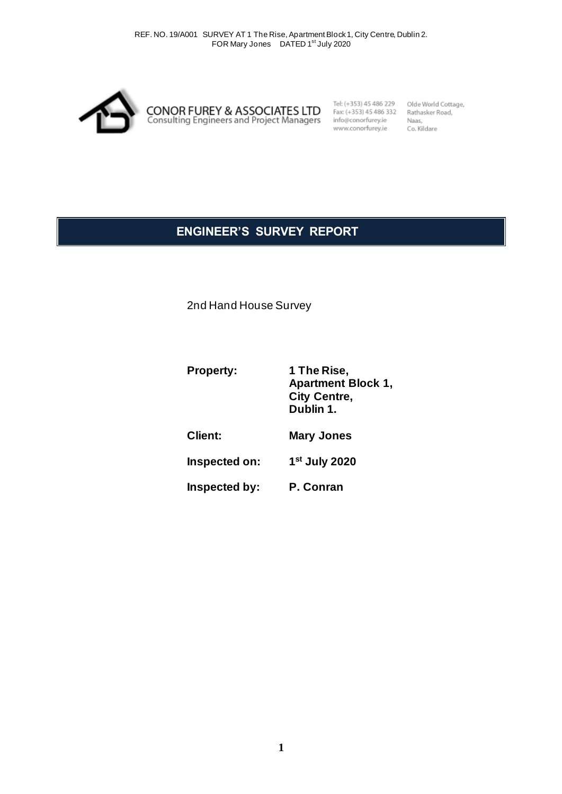

Tel: (+353) 45 486 229 Fax: (+353) 45 486 332 info@conorfurey.ie<br>info@conorfurey.ie<br>www.conorfurey.ie

Olde World Cottage, Rathasker Road, Naas,<br>Co. Kildare

# **ENGINEER'S SURVEY REPORT**

2nd Hand House Survey

| <b>Property:</b> | 1 The Rise,<br><b>Apartment Block 1,</b><br><b>City Centre,</b><br>Dublin 1. |
|------------------|------------------------------------------------------------------------------|
| <b>Client:</b>   | <b>Mary Jones</b>                                                            |
| Inspected on:    | 1 <sup>st</sup> July 2020                                                    |
| Inspected by:    | P. Conran                                                                    |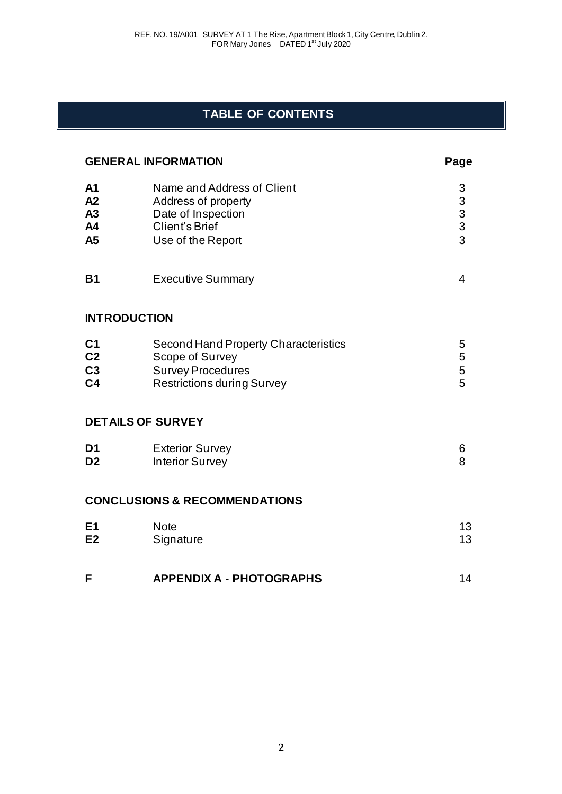# **TABLE OF CONTENTS**

| <b>GENERAL INFORMATION</b>                               |                                                                                                                          | Page                                              |
|----------------------------------------------------------|--------------------------------------------------------------------------------------------------------------------------|---------------------------------------------------|
| A <sub>1</sub><br>A2<br>A3<br>A4<br>A5                   | Name and Address of Client<br>Address of property<br>Date of Inspection<br>Client's Brief<br>Use of the Report           | 3<br>$\begin{array}{c}\n3 \\ 3 \\ 3\n\end{array}$ |
| <b>B1</b>                                                | <b>Executive Summary</b>                                                                                                 | 4                                                 |
|                                                          | <b>INTRODUCTION</b>                                                                                                      |                                                   |
| C <sub>1</sub><br>C <sub>2</sub><br>C3<br>C <sub>4</sub> | Second Hand Property Characteristics<br>Scope of Survey<br><b>Survey Procedures</b><br><b>Restrictions during Survey</b> | 5<br>5<br>5<br>5                                  |
|                                                          | <b>DETAILS OF SURVEY</b>                                                                                                 |                                                   |
| D <sub>1</sub><br>D <sub>2</sub>                         | <b>Exterior Survey</b><br><b>Interior Survey</b>                                                                         | 6<br>8                                            |
|                                                          | <b>CONCLUSIONS &amp; RECOMMENDATIONS</b>                                                                                 |                                                   |
| E1<br>E2                                                 | <b>Note</b><br>Signature                                                                                                 | 13<br>13                                          |
| F                                                        | <b>APPENDIX A - PHOTOGRAPHS</b>                                                                                          | 14                                                |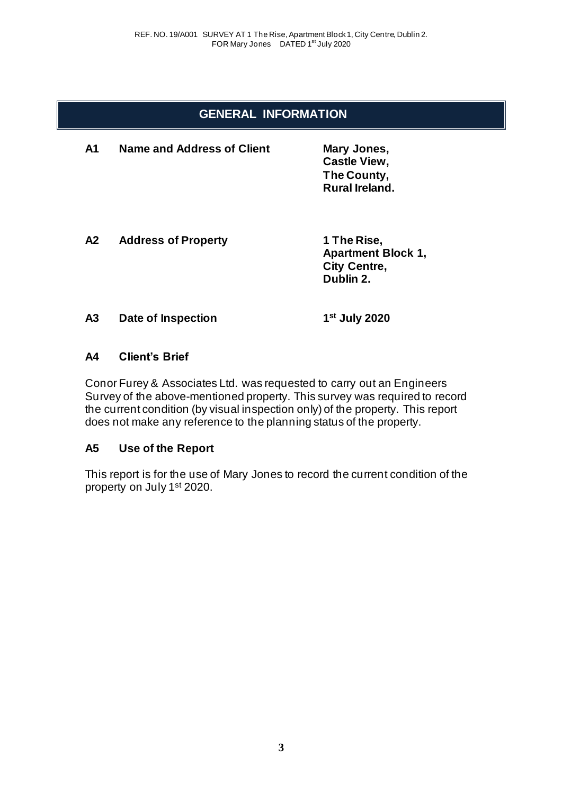## **GENERAL INFORMATION**

**A1 Name and Address of Client Mary Jones, Castle View, The County, Rural Ireland.**

**A2 Address of Property 1 The Rise,**

**Apartment Block 1, City Centre, Dublin 2.**

#### **A3 Date of Inspection 1**

**st July 2020**

## **A4 Client's Brief**

Conor Furey & Associates Ltd. was requested to carry out an Engineers Survey of the above-mentioned property. This survey was required to record the current condition (by visual inspection only) of the property. This report does not make any reference to the planning status of the property.

## **A5 Use of the Report**

This report is for the use of Mary Jones to record the current condition of the property on July 1st 2020.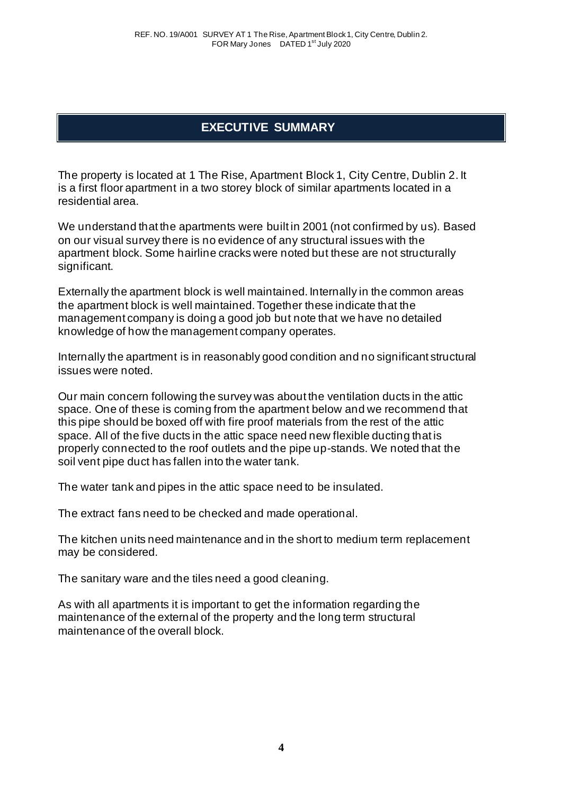## **EXECUTIVE SUMMARY**

The property is located at 1 The Rise, Apartment Block 1, City Centre, Dublin 2. It is a first floor apartment in a two storey block of similar apartments located in a residential area.

We understand that the apartments were built in 2001 (not confirmed by us). Based on our visual survey there is no evidence of any structural issues with the apartment block. Some hairline cracks were noted but these are not structurally significant.

Externally the apartment block is well maintained. Internally in the common areas the apartment block is well maintained. Together these indicate that the management company is doing a good job but note that we have no detailed knowledge of how the management company operates.

Internally the apartment is in reasonably good condition and no significant structural issues were noted.

Our main concern following the survey was about the ventilation ducts in the attic space. One of these is coming from the apartment below and we recommend that this pipe should be boxed off with fire proof materials from the rest of the attic space. All of the five ducts in the attic space need new flexible ducting that is properly connected to the roof outlets and the pipe up-stands. We noted that the soil vent pipe duct has fallen into the water tank.

The water tank and pipes in the attic space need to be insulated.

The extract fans need to be checked and made operational.

The kitchen units need maintenance and in the short to medium term replacement may be considered.

The sanitary ware and the tiles need a good cleaning.

As with all apartments it is important to get the information regarding the maintenance of the external of the property and the long term structural maintenance of the overall block.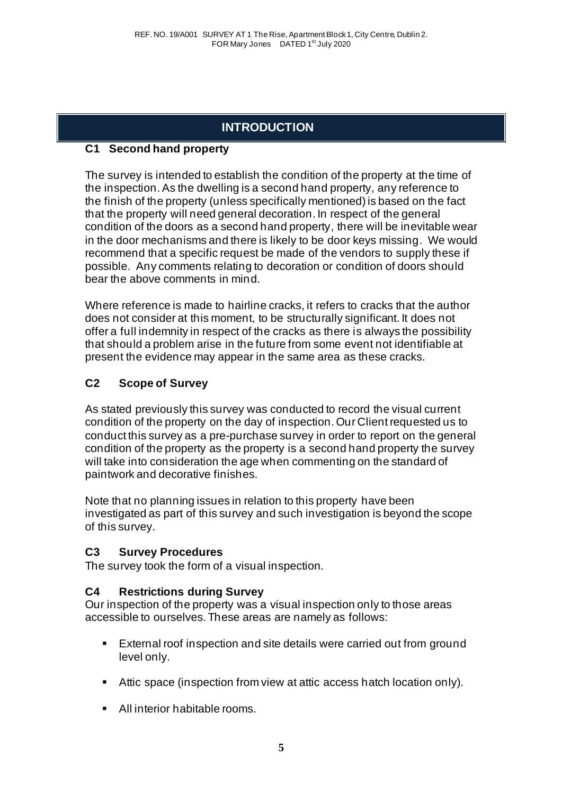# **INTRODUCTION**

## **C1 Second hand property**

The survey is intended to establish the condition of the property at the time of the inspection. As the dwelling is a second hand property, any reference to the finish of the property (unless specifically mentioned) is based on the fact that the property will need general decoration. In respect of the general condition of the doors as a second hand property, there will be inevitable wear in the door mechanisms and there is likely to be door keys missing. We would recommend that a specific request be made of the vendors to supply these if possible. Any comments relating to decoration or condition of doors should bear the above comments in mind.

Where reference is made to hairline cracks, it refers to cracks that the author does not consider at this moment, to be structurally significant. It does not offer a full indemnity in respect of the cracks as there is always the possibility that should a problem arise in the future from some event not identifiable at present the evidence may appear in the same area as these cracks.

## **C2 Scope of Survey**

As stated previously this survey was conducted to record the visual current condition of the property on the day of inspection. Our Client requested us to conduct this survey as a pre-purchase survey in order to report on the general condition of the property as the property is a second hand property the survey will take into consideration the age when commenting on the standard of paintwork and decorative finishes.

Note that no planning issues in relation to this property have been investigated as part of this survey and such investigation is beyond the scope of this survey.

## **C3 Survey Procedures**

The survey took the form of a visual inspection.

## **C4 Restrictions during Survey**

Our inspection of the property was a visual inspection only to those areas accessible to ourselves. These areas are namely as follows:

- External roof inspection and site details were carried out from ground level only.
- Attic space (inspection from view at attic access hatch location only).
- All interior habitable rooms.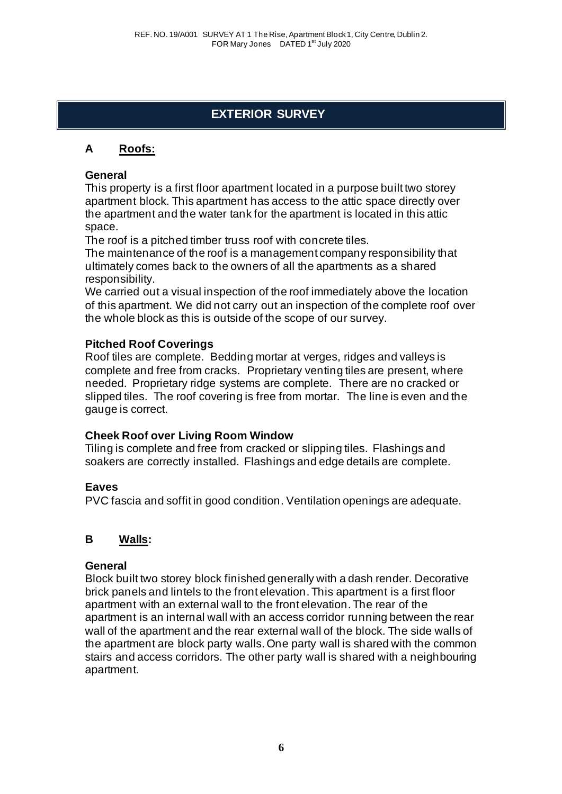# **EXTERIOR SURVEY**

## **A Roofs:**

## **General**

This property is a first floor apartment located in a purpose built two storey apartment block. This apartment has access to the attic space directly over the apartment and the water tank for the apartment is located in this attic space.

The roof is a pitched timber truss roof with concrete tiles.

The maintenance of the roof is a management company responsibility that ultimately comes back to the owners of all the apartments as a shared responsibility.

We carried out a visual inspection of the roof immediately above the location of this apartment. We did not carry out an inspection of the complete roof over the whole block as this is outside of the scope of our survey.

## **Pitched Roof Coverings**

Roof tiles are complete. Bedding mortar at verges, ridges and valleys is complete and free from cracks. Proprietary venting tiles are present, where needed. Proprietary ridge systems are complete. There are no cracked or slipped tiles. The roof covering is free from mortar. The line is even and the gauge is correct.

## **Cheek Roof over Living Room Window**

Tiling is complete and free from cracked or slipping tiles. Flashings and soakers are correctly installed. Flashings and edge details are complete.

## **Eaves**

PVC fascia and soffit in good condition. Ventilation openings are adequate.

## **B Walls:**

#### **General**

Block built two storey block finished generally with a dash render. Decorative brick panels and lintels to the front elevation. This apartment is a first floor apartment with an external wall to the front elevation. The rear of the apartment is an internal wall with an access corridor running between the rear wall of the apartment and the rear external wall of the block. The side walls of the apartment are block party walls. One party wall is shared with the common stairs and access corridors. The other party wall is shared with a neighbouring apartment.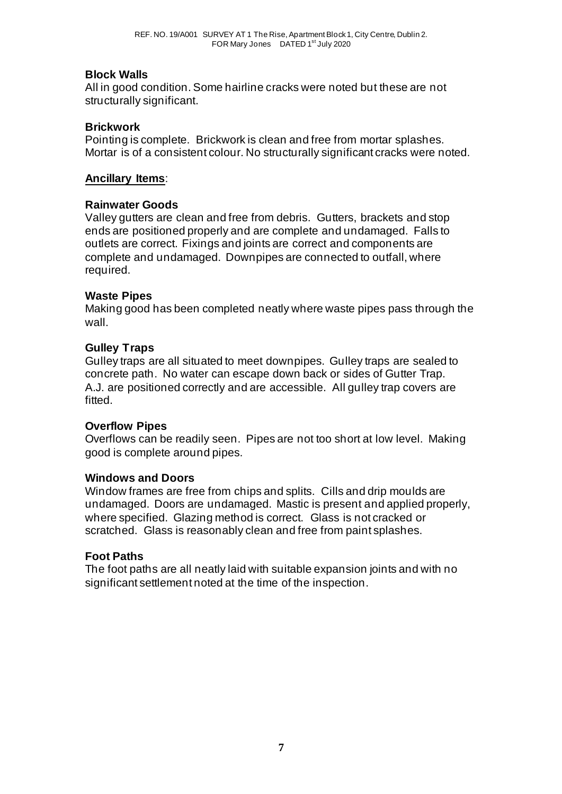## **Block Walls**

All in good condition. Some hairline cracks were noted but these are not structurally significant.

## **Brickwork**

Pointing is complete. Brickwork is clean and free from mortar splashes. Mortar is of a consistent colour. No structurally significant cracks were noted.

## **Ancillary Items**:

## **Rainwater Goods**

Valley gutters are clean and free from debris. Gutters, brackets and stop ends are positioned properly and are complete and undamaged. Falls to outlets are correct. Fixings and joints are correct and components are complete and undamaged. Downpipes are connected to outfall, where required.

## **Waste Pipes**

Making good has been completed neatly where waste pipes pass through the wall.

## **Gulley Traps**

Gulley traps are all situated to meet downpipes. Gulley traps are sealed to concrete path. No water can escape down back or sides of Gutter Trap. A.J. are positioned correctly and are accessible. All gulley trap covers are fitted.

## **Overflow Pipes**

Overflows can be readily seen. Pipes are not too short at low level. Making good is complete around pipes.

## **Windows and Doors**

Window frames are free from chips and splits. Cills and drip moulds are undamaged. Doors are undamaged. Mastic is present and applied properly, where specified. Glazing method is correct. Glass is not cracked or scratched. Glass is reasonably clean and free from paint splashes.

## **Foot Paths**

The foot paths are all neatly laid with suitable expansion joints and with no significant settlement noted at the time of the inspection.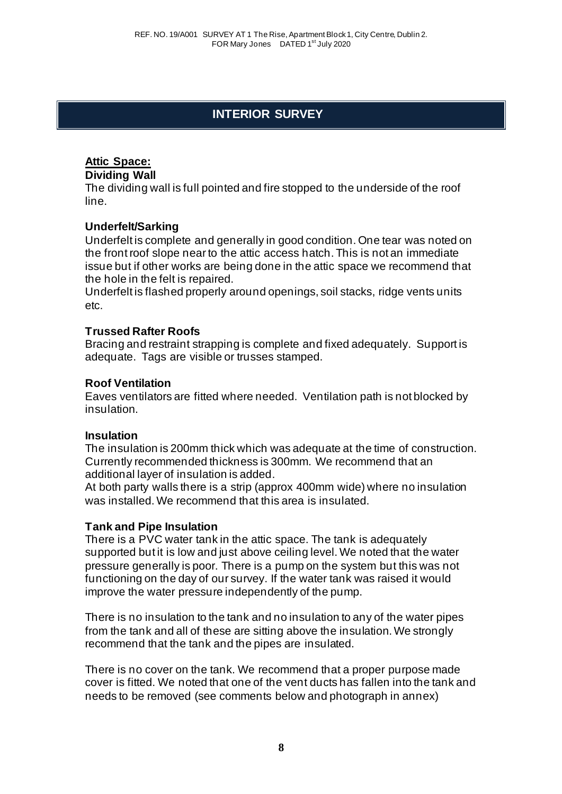# **INTERIOR SURVEY**

## **Attic Space:**

## **Dividing Wall**

The dividing wall is full pointed and fire stopped to the underside of the roof line.

## **Underfelt/Sarking**

Underfelt is complete and generally in good condition. One tear was noted on the front roof slope near to the attic access hatch. This is not an immediate issue but if other works are being done in the attic space we recommend that the hole in the felt is repaired.

Underfelt is flashed properly around openings, soil stacks, ridge vents units etc.

## **Trussed Rafter Roofs**

Bracing and restraint strapping is complete and fixed adequately. Support is adequate. Tags are visible or trusses stamped.

## **Roof Ventilation**

Eaves ventilators are fitted where needed. Ventilation path is not blocked by insulation.

## **Insulation**

The insulation is 200mm thick which was adequate at the time of construction. Currently recommended thickness is 300mm. We recommend that an additional layer of insulation is added.

At both party walls there is a strip (approx 400mm wide) where no insulation was installed. We recommend that this area is insulated.

## **Tank and Pipe Insulation**

There is a PVC water tank in the attic space. The tank is adequately supported but it is low and just above ceiling level. We noted that the water pressure generally is poor. There is a pump on the system but this was not functioning on the day of our survey. If the water tank was raised it would improve the water pressure independently of the pump.

There is no insulation to the tank and no insulation to any of the water pipes from the tank and all of these are sitting above the insulation. We strongly recommend that the tank and the pipes are insulated.

There is no cover on the tank. We recommend that a proper purpose made cover is fitted. We noted that one of the vent ducts has fallen into the tank and needs to be removed (see comments below and photograph in annex)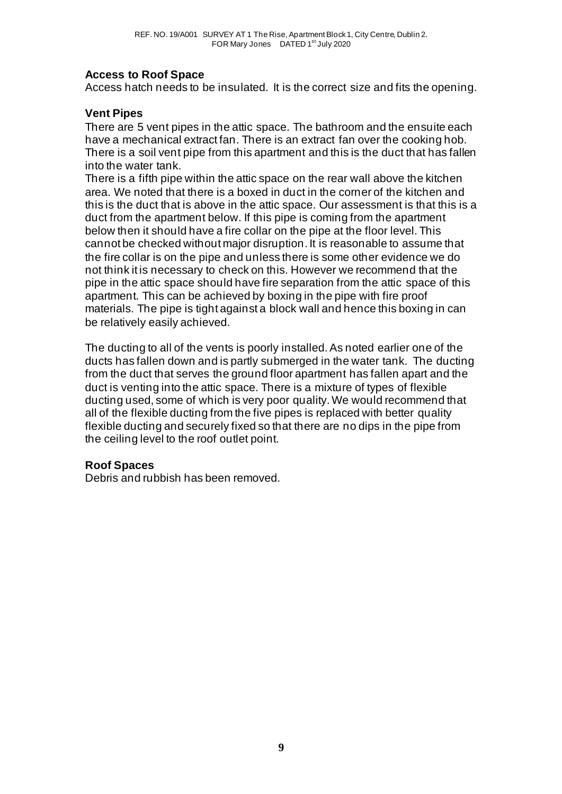## **Access to Roof Space**

Access hatch needs to be insulated. It is the correct size and fits the opening.

## **Vent Pipes**

There are 5 vent pipes in the attic space. The bathroom and the ensuite each have a mechanical extract fan. There is an extract fan over the cooking hob. There is a soil vent pipe from this apartment and this is the duct that has fallen into the water tank.

There is a fifth pipe within the attic space on the rear wall above the kitchen area. We noted that there is a boxed in duct in the corner of the kitchen and this is the duct that is above in the attic space. Our assessment is that this is a duct from the apartment below. If this pipe is coming from the apartment below then it should have a fire collar on the pipe at the floor level. This cannot be checked without major disruption. It is reasonable to assume that the fire collar is on the pipe and unless there is some other evidence we do not think it is necessary to check on this. However we recommend that the pipe in the attic space should have fire separation from the attic space of this apartment. This can be achieved by boxing in the pipe with fire proof materials. The pipe is tight against a block wall and hence this boxing in can be relatively easily achieved.

The ducting to all of the vents is poorly installed. As noted earlier one of the ducts has fallen down and is partly submerged in the water tank. The ducting from the duct that serves the ground floor apartment has fallen apart and the duct is venting into the attic space. There is a mixture of types of flexible ducting used, some of which is very poor quality. We would recommend that all of the flexible ducting from the five pipes is replaced with better quality flexible ducting and securely fixed so that there are no dips in the pipe from the ceiling level to the roof outlet point.

## **Roof Spaces**

Debris and rubbish has been removed.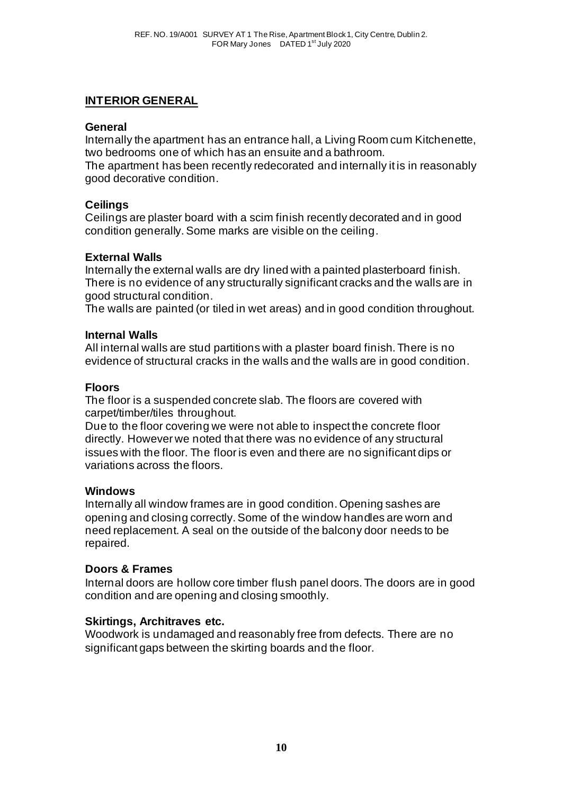## **INTERIOR GENERAL**

## **General**

Internally the apartment has an entrance hall, a Living Room cum Kitchenette, two bedrooms one of which has an ensuite and a bathroom.

The apartment has been recently redecorated and internally it is in reasonably good decorative condition.

## **Ceilings**

Ceilings are plaster board with a scim finish recently decorated and in good condition generally. Some marks are visible on the ceiling.

#### **External Walls**

Internally the external walls are dry lined with a painted plasterboard finish. There is no evidence of any structurally significant cracks and the walls are in good structural condition.

The walls are painted (or tiled in wet areas) and in good condition throughout.

#### **Internal Walls**

All internal walls are stud partitions with a plaster board finish. There is no evidence of structural cracks in the walls and the walls are in good condition.

#### **Floors**

The floor is a suspended concrete slab. The floors are covered with carpet/timber/tiles throughout.

Due to the floor covering we were not able to inspect the concrete floor directly. However we noted that there was no evidence of any structural issues with the floor. The floor is even and there are no significant dips or variations across the floors.

## **Windows**

Internally all window frames are in good condition. Opening sashes are opening and closing correctly. Some of the window handles are worn and need replacement. A seal on the outside of the balcony door needs to be repaired.

## **Doors & Frames**

Internal doors are hollow core timber flush panel doors. The doors are in good condition and are opening and closing smoothly.

## **Skirtings, Architraves etc.**

Woodwork is undamaged and reasonably free from defects. There are no significant gaps between the skirting boards and the floor.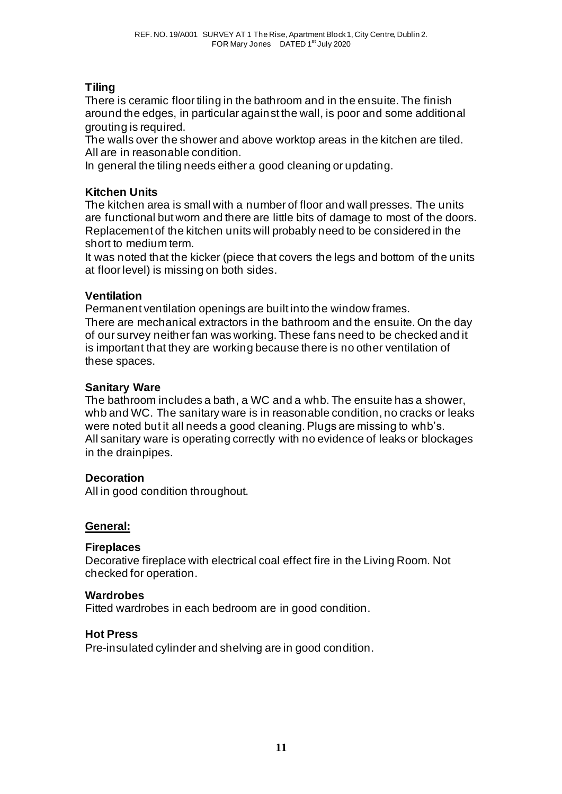## **Tiling**

There is ceramic floor tiling in the bathroom and in the ensuite. The finish around the edges, in particular against the wall, is poor and some additional grouting is required.

The walls over the shower and above worktop areas in the kitchen are tiled. All are in reasonable condition.

In general the tiling needs either a good cleaning or updating.

## **Kitchen Units**

The kitchen area is small with a number of floor and wall presses. The units are functional but worn and there are little bits of damage to most of the doors. Replacement of the kitchen units will probably need to be considered in the short to medium term.

It was noted that the kicker (piece that covers the legs and bottom of the units at floor level) is missing on both sides.

## **Ventilation**

Permanent ventilation openings are built into the window frames.

There are mechanical extractors in the bathroom and the ensuite. On the day of our survey neither fan was working. These fans need to be checked and it is important that they are working because there is no other ventilation of these spaces.

## **Sanitary Ware**

The bathroom includes a bath, a WC and a whb. The ensuite has a shower, whb and WC. The sanitary ware is in reasonable condition, no cracks or leaks were noted but it all needs a good cleaning. Plugs are missing to whb's. All sanitary ware is operating correctly with no evidence of leaks or blockages in the drainpipes.

## **Decoration**

All in good condition throughout.

## **General:**

## **Fireplaces**

Decorative fireplace with electrical coal effect fire in the Living Room. Not checked for operation.

## **Wardrobes**

Fitted wardrobes in each bedroom are in good condition.

## **Hot Press**

Pre-insulated cylinder and shelving are in good condition.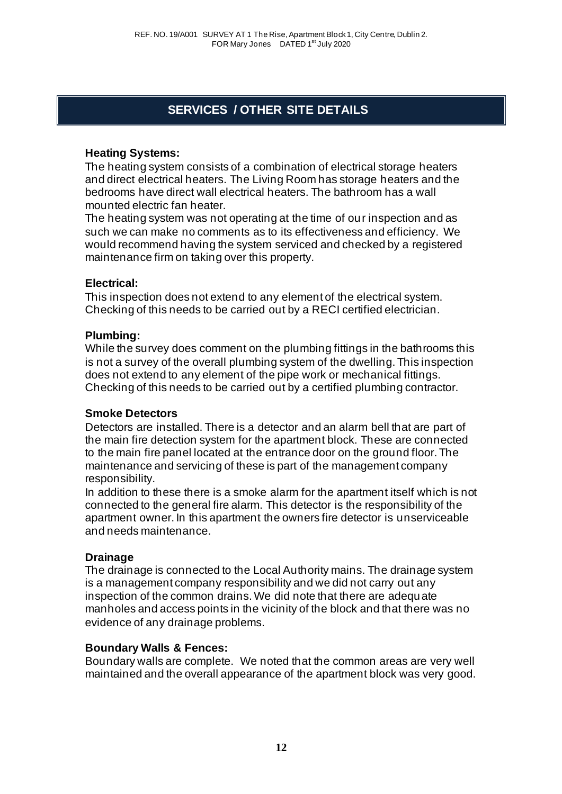# **SERVICES / OTHER SITE DETAILS**

## **Heating Systems:**

The heating system consists of a combination of electrical storage heaters and direct electrical heaters. The Living Room has storage heaters and the bedrooms have direct wall electrical heaters. The bathroom has a wall mounted electric fan heater.

The heating system was not operating at the time of our inspection and as such we can make no comments as to its effectiveness and efficiency. We would recommend having the system serviced and checked by a registered maintenance firm on taking over this property.

## **Electrical:**

This inspection does not extend to any element of the electrical system. Checking of this needs to be carried out by a RECI certified electrician.

## **Plumbing:**

While the survey does comment on the plumbing fittings in the bathrooms this is not a survey of the overall plumbing system of the dwelling. This inspection does not extend to any element of the pipe work or mechanical fittings. Checking of this needs to be carried out by a certified plumbing contractor.

## **Smoke Detectors**

Detectors are installed. There is a detector and an alarm bell that are part of the main fire detection system for the apartment block. These are connected to the main fire panel located at the entrance door on the ground floor. The maintenance and servicing of these is part of the management company responsibility.

In addition to these there is a smoke alarm for the apartment itself which is not connected to the general fire alarm. This detector is the responsibility of the apartment owner. In this apartment the owners fire detector is unserviceable and needs maintenance.

## **Drainage**

The drainage is connected to the Local Authority mains. The drainage system is a management company responsibility and we did not carry out any inspection of the common drains. We did note that there are adequate manholes and access points in the vicinity of the block and that there was no evidence of any drainage problems.

## **Boundary Walls & Fences:**

Boundary walls are complete. We noted that the common areas are very well maintained and the overall appearance of the apartment block was very good.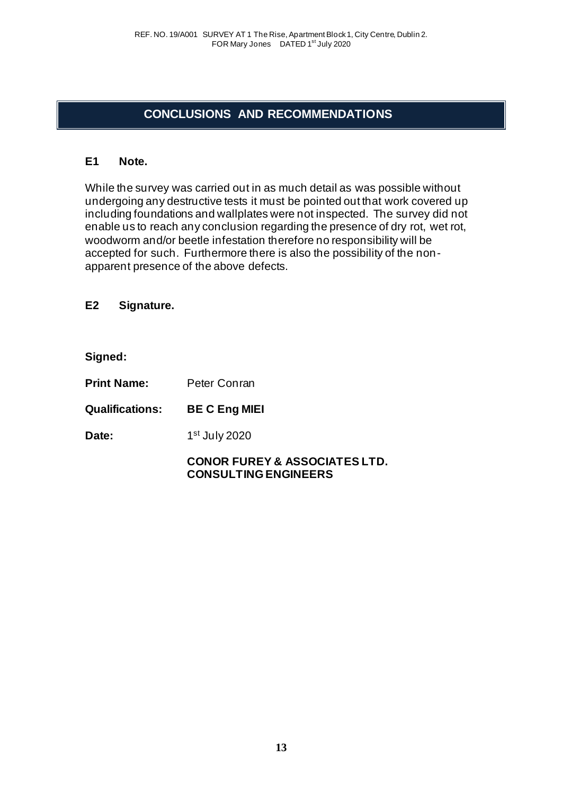## **CONCLUSIONS AND RECOMMENDATIONS**

#### **E1 Note.**

While the survey was carried out in as much detail as was possible without undergoing any destructive tests it must be pointed out that work covered up including foundations and wallplates were not inspected. The survey did not enable us to reach any conclusion regarding the presence of dry rot, wet rot, woodworm and/or beetle infestation therefore no responsibility will be accepted for such. Furthermore there is also the possibility of the nonapparent presence of the above defects.

**E2 Signature.**

**Signed:**

**Print Name:** Peter Conran

**Qualifications: BE C Eng MIEI** 

Date: 1st July 2020

## **CONOR FUREY & ASSOCIATES LTD. CONSULTING ENGINEERS**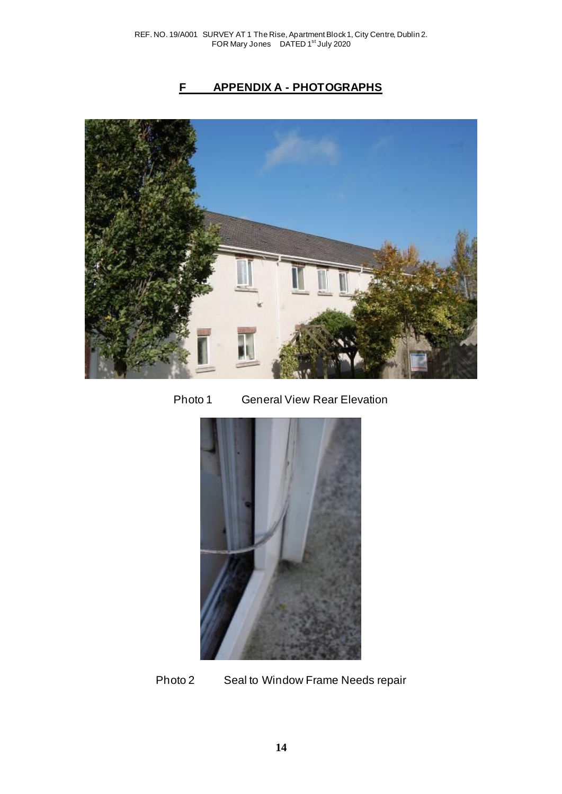# **F APPENDIX A - PHOTOGRAPHS**







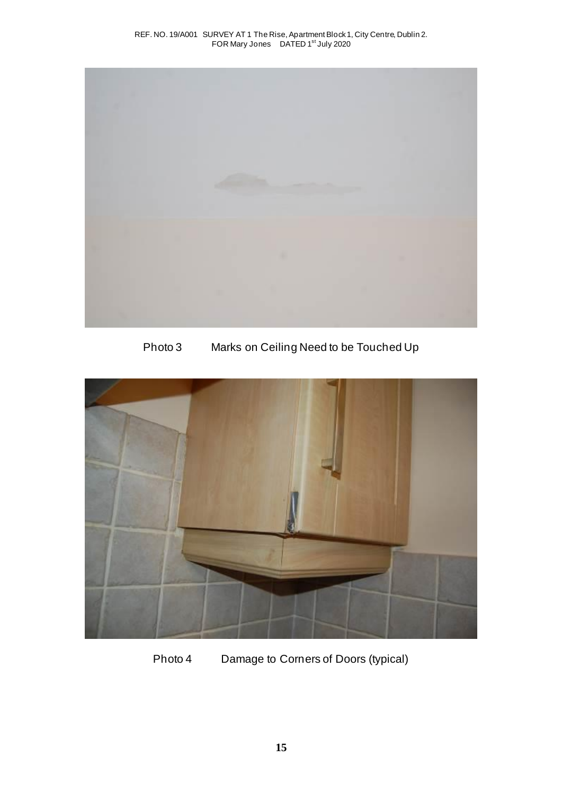

Photo 3 Marks on Ceiling Need to be Touched Up



Photo 4 Damage to Corners of Doors (typical)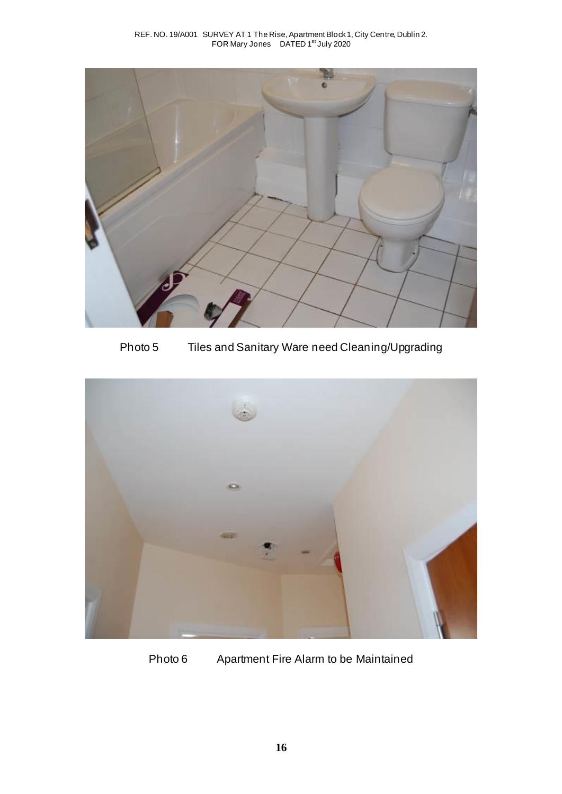

Photo 5 Tiles and Sanitary Ware need Cleaning/Upgrading



Photo 6 Apartment Fire Alarm to be Maintained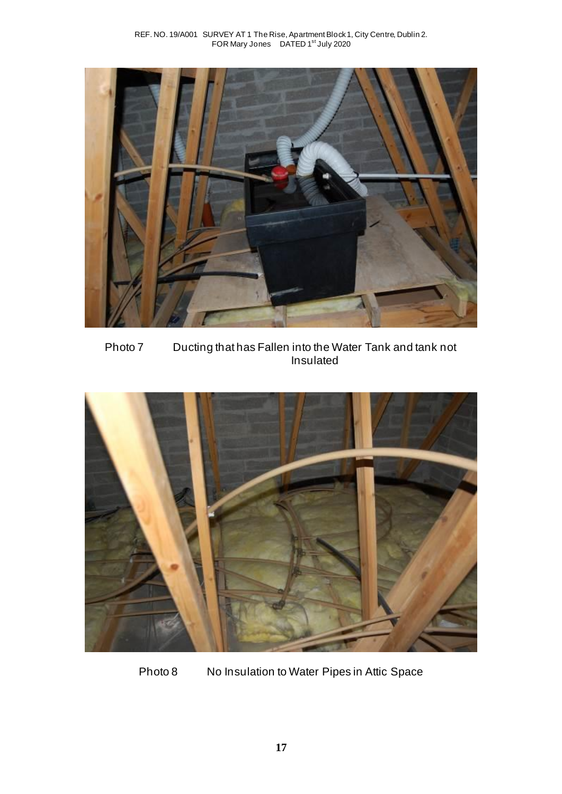

Photo 7 Ducting that has Fallen into the Water Tank and tank not Insulated



Photo 8 No Insulation to Water Pipes in Attic Space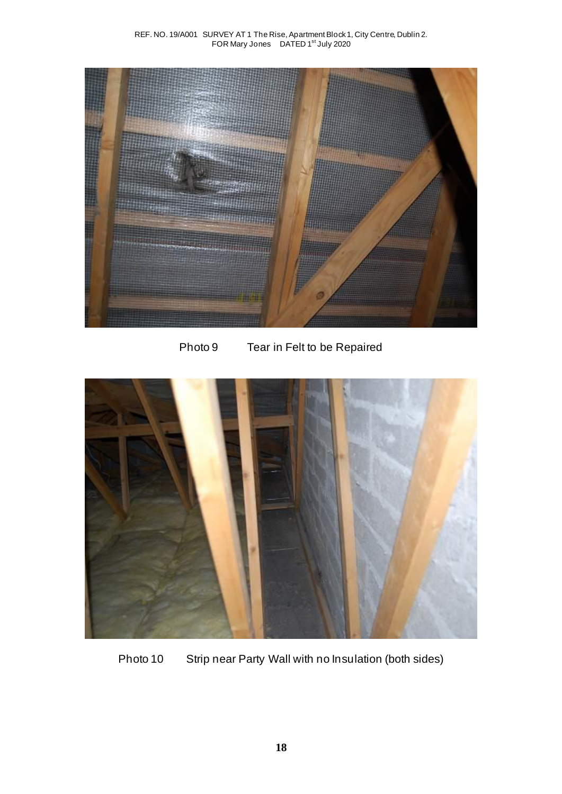

Photo 9 Tear in Felt to be Repaired



Photo 10 Strip near Party Wall with no Insulation (both sides)